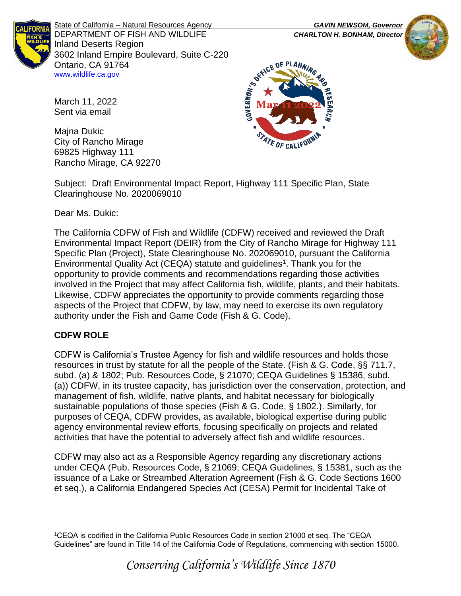

State of California – Natural Resources Agency *GAVIN NEWSOM, Governor* DEPARTMENT OF FISH AND WILDLIFE *CHARLTON H. BONHAM, Director*  Inland Deserts Region 3602 Inland Empire Boulevard, Suite C-220 Ontario, CA 91764 [www.wildlife.ca.gov](http://www.wildlife.ca.gov/)





March 11, 2022 Sent via email

Majna Dukic City of Rancho Mirage 69825 Highway 111 Rancho Mirage, CA 92270

Subject: Draft Environmental Impact Report, Highway 111 Specific Plan, State Clearinghouse No. 2020069010

Dear Ms. Dukic:

The California CDFW of Fish and Wildlife (CDFW) received and reviewed the Draft Environmental Impact Report (DEIR) from the City of Rancho Mirage for Highway 111 Specific Plan (Project), State Clearinghouse No. 202069010, pursuant the California Environmental Quality Act (CEQA) statute and guidelines<sup>1</sup>. Thank you for the opportunity to provide comments and recommendations regarding those activities involved in the Project that may affect California fish, wildlife, plants, and their habitats. Likewise, CDFW appreciates the opportunity to provide comments regarding those aspects of the Project that CDFW, by law, may need to exercise its own regulatory authority under the Fish and Game Code (Fish & G. Code).

# **CDFW ROLE**

CDFW is California's Trustee Agency for fish and wildlife resources and holds those resources in trust by statute for all the people of the State. (Fish & G. Code, §§ 711.7, subd. (a) & 1802; Pub. Resources Code, § 21070; CEQA Guidelines § 15386, subd. (a)) CDFW, in its trustee capacity, has jurisdiction over the conservation, protection, and management of fish, wildlife, native plants, and habitat necessary for biologically sustainable populations of those species (Fish & G. Code, § 1802.). Similarly, for purposes of CEQA, CDFW provides, as available, biological expertise during public agency environmental review efforts, focusing specifically on projects and related activities that have the potential to adversely affect fish and wildlife resources.

CDFW may also act as a Responsible Agency regarding any discretionary actions under CEQA (Pub. Resources Code, § 21069; CEQA Guidelines, § 15381, such as the issuance of a Lake or Streambed Alteration Agreement (Fish & G. Code Sections 1600 et seq.), a California Endangered Species Act (CESA) Permit for Incidental Take of

<sup>1</sup>CEQA is codified in the California Public Resources Code in section 21000 et seq. The "CEQA Guidelines" are found in Title 14 of the California Code of Regulations, commencing with section 15000.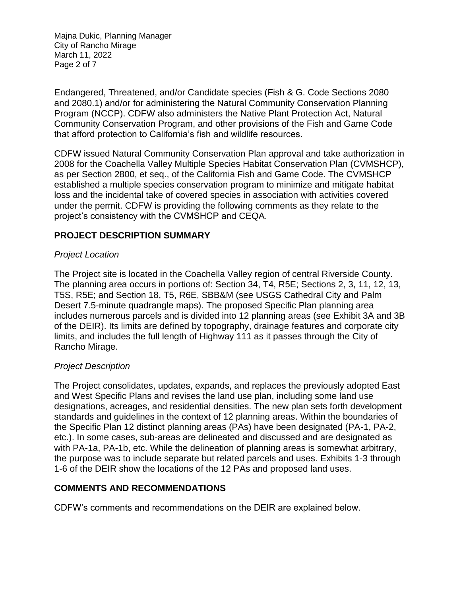Majna Dukic, Planning Manager City of Rancho Mirage March 11, 2022 Page 2 of 7

Endangered, Threatened, and/or Candidate species (Fish & G. Code Sections 2080 and 2080.1) and/or for administering the Natural Community Conservation Planning Program (NCCP). CDFW also administers the Native Plant Protection Act, Natural Community Conservation Program, and other provisions of the Fish and Game Code that afford protection to California's fish and wildlife resources.

CDFW issued Natural Community Conservation Plan approval and take authorization in 2008 for the Coachella Valley Multiple Species Habitat Conservation Plan (CVMSHCP), as per Section 2800, et seq., of the California Fish and Game Code. The CVMSHCP established a multiple species conservation program to minimize and mitigate habitat loss and the incidental take of covered species in association with activities covered under the permit. CDFW is providing the following comments as they relate to the project's consistency with the CVMSHCP and CEQA.

### **PROJECT DESCRIPTION SUMMARY**

#### *Project Location*

The Project site is located in the Coachella Valley region of central Riverside County. The planning area occurs in portions of: Section 34, T4, R5E; Sections 2, 3, 11, 12, 13, T5S, R5E; and Section 18, T5, R6E, SBB&M (see USGS Cathedral City and Palm Desert 7.5-minute quadrangle maps). The proposed Specific Plan planning area includes numerous parcels and is divided into 12 planning areas (see Exhibit 3A and 3B of the DEIR). Its limits are defined by topography, drainage features and corporate city limits, and includes the full length of Highway 111 as it passes through the City of Rancho Mirage.

#### *Project Description*

The Project consolidates, updates, expands, and replaces the previously adopted East and West Specific Plans and revises the land use plan, including some land use designations, acreages, and residential densities. The new plan sets forth development standards and guidelines in the context of 12 planning areas. Within the boundaries of the Specific Plan 12 distinct planning areas (PAs) have been designated (PA-1, PA-2, etc.). In some cases, sub-areas are delineated and discussed and are designated as with PA-1a, PA-1b, etc. While the delineation of planning areas is somewhat arbitrary, the purpose was to include separate but related parcels and uses. Exhibits 1-3 through 1-6 of the DEIR show the locations of the 12 PAs and proposed land uses.

### **COMMENTS AND RECOMMENDATIONS**

CDFW's comments and recommendations on the DEIR are explained below.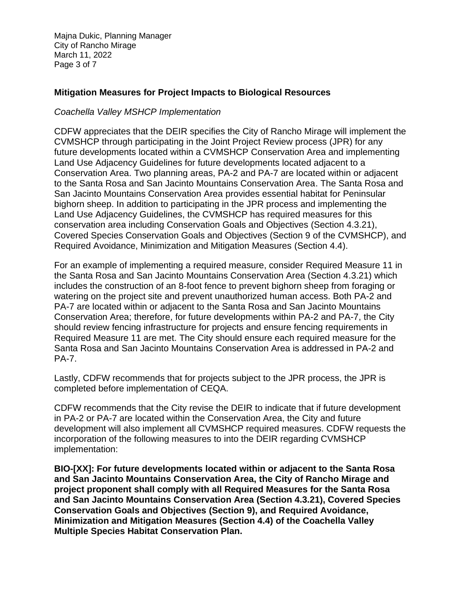Majna Dukic, Planning Manager City of Rancho Mirage March 11, 2022 Page 3 of 7

### **Mitigation Measures for Project Impacts to Biological Resources**

#### *Coachella Valley MSHCP Implementation*

CDFW appreciates that the DEIR specifies the City of Rancho Mirage will implement the CVMSHCP through participating in the Joint Project Review process (JPR) for any future developments located within a CVMSHCP Conservation Area and implementing Land Use Adjacency Guidelines for future developments located adjacent to a Conservation Area. Two planning areas, PA-2 and PA-7 are located within or adjacent to the Santa Rosa and San Jacinto Mountains Conservation Area. The Santa Rosa and San Jacinto Mountains Conservation Area provides essential habitat for Peninsular bighorn sheep. In addition to participating in the JPR process and implementing the Land Use Adjacency Guidelines, the CVMSHCP has required measures for this conservation area including Conservation Goals and Objectives (Section 4.3.21), Covered Species Conservation Goals and Objectives (Section 9 of the CVMSHCP), and Required Avoidance, Minimization and Mitigation Measures (Section 4.4).

For an example of implementing a required measure, consider Required Measure 11 in the Santa Rosa and San Jacinto Mountains Conservation Area (Section 4.3.21) which includes the construction of an 8-foot fence to prevent bighorn sheep from foraging or watering on the project site and prevent unauthorized human access. Both PA-2 and PA-7 are located within or adjacent to the Santa Rosa and San Jacinto Mountains Conservation Area; therefore, for future developments within PA-2 and PA-7, the City should review fencing infrastructure for projects and ensure fencing requirements in Required Measure 11 are met. The City should ensure each required measure for the Santa Rosa and San Jacinto Mountains Conservation Area is addressed in PA-2 and PA-7.

Lastly, CDFW recommends that for projects subject to the JPR process, the JPR is completed before implementation of CEQA.

CDFW recommends that the City revise the DEIR to indicate that if future development in PA-2 or PA-7 are located within the Conservation Area, the City and future development will also implement all CVMSHCP required measures. CDFW requests the incorporation of the following measures to into the DEIR regarding CVMSHCP implementation:

**BIO-[XX]: For future developments located within or adjacent to the Santa Rosa and San Jacinto Mountains Conservation Area, the City of Rancho Mirage and project proponent shall comply with all Required Measures for the Santa Rosa and San Jacinto Mountains Conservation Area (Section 4.3.21), Covered Species Conservation Goals and Objectives (Section 9), and Required Avoidance, Minimization and Mitigation Measures (Section 4.4) of the Coachella Valley Multiple Species Habitat Conservation Plan.**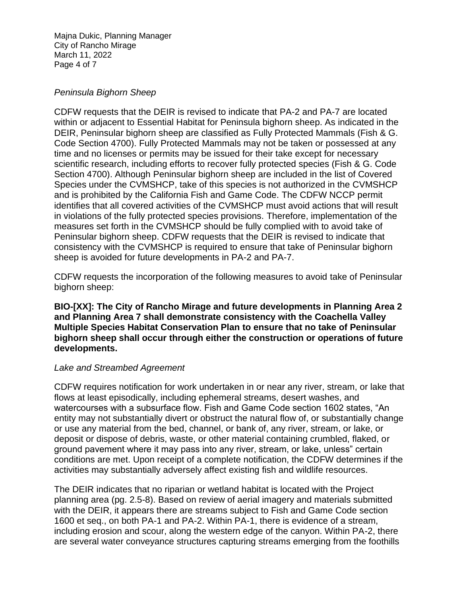Majna Dukic, Planning Manager City of Rancho Mirage March 11, 2022 Page 4 of 7

#### *Peninsula Bighorn Sheep*

CDFW requests that the DEIR is revised to indicate that PA-2 and PA-7 are located within or adjacent to Essential Habitat for Peninsula bighorn sheep. As indicated in the DEIR, Peninsular bighorn sheep are classified as Fully Protected Mammals (Fish & G. Code Section 4700). Fully Protected Mammals may not be taken or possessed at any time and no licenses or permits may be issued for their take except for necessary scientific research, including efforts to recover fully protected species (Fish & G. Code Section 4700). Although Peninsular bighorn sheep are included in the list of Covered Species under the CVMSHCP, take of this species is not authorized in the CVMSHCP and is prohibited by the California Fish and Game Code. The CDFW NCCP permit identifies that all covered activities of the CVMSHCP must avoid actions that will result in violations of the fully protected species provisions. Therefore, implementation of the measures set forth in the CVMSHCP should be fully complied with to avoid take of Peninsular bighorn sheep. CDFW requests that the DEIR is revised to indicate that consistency with the CVMSHCP is required to ensure that take of Peninsular bighorn sheep is avoided for future developments in PA-2 and PA-7.

CDFW requests the incorporation of the following measures to avoid take of Peninsular bighorn sheep:

**BIO-[XX]: The City of Rancho Mirage and future developments in Planning Area 2 and Planning Area 7 shall demonstrate consistency with the Coachella Valley Multiple Species Habitat Conservation Plan to ensure that no take of Peninsular bighorn sheep shall occur through either the construction or operations of future developments.**

### *Lake and Streambed Agreement*

CDFW requires notification for work undertaken in or near any river, stream, or lake that flows at least episodically, including ephemeral streams, desert washes, and watercourses with a subsurface flow. Fish and Game Code section 1602 states, "An entity may not substantially divert or obstruct the natural flow of, or substantially change or use any material from the bed, channel, or bank of, any river, stream, or lake, or deposit or dispose of debris, waste, or other material containing crumbled, flaked, or ground pavement where it may pass into any river, stream, or lake, unless" certain conditions are met. Upon receipt of a complete notification, the CDFW determines if the activities may substantially adversely affect existing fish and wildlife resources.

The DEIR indicates that no riparian or wetland habitat is located with the Project planning area (pg. 2.5-8). Based on review of aerial imagery and materials submitted with the DEIR, it appears there are streams subject to Fish and Game Code section 1600 et seq., on both PA-1 and PA-2. Within PA-1, there is evidence of a stream, including erosion and scour, along the western edge of the canyon. Within PA-2, there are several water conveyance structures capturing streams emerging from the foothills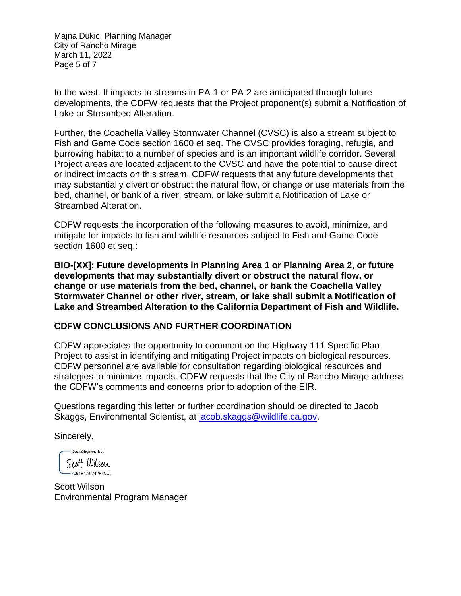Majna Dukic, Planning Manager City of Rancho Mirage March 11, 2022 Page 5 of 7

to the west. If impacts to streams in PA-1 or PA-2 are anticipated through future developments, the CDFW requests that the Project proponent(s) submit a Notification of Lake or Streambed Alteration.

Further, the Coachella Valley Stormwater Channel (CVSC) is also a stream subject to Fish and Game Code section 1600 et seq. The CVSC provides foraging, refugia, and burrowing habitat to a number of species and is an important wildlife corridor. Several Project areas are located adjacent to the CVSC and have the potential to cause direct or indirect impacts on this stream. CDFW requests that any future developments that may substantially divert or obstruct the natural flow, or change or use materials from the bed, channel, or bank of a river, stream, or lake submit a Notification of Lake or Streambed Alteration.

CDFW requests the incorporation of the following measures to avoid, minimize, and mitigate for impacts to fish and wildlife resources subject to Fish and Game Code section 1600 et seq.:

**BIO-[XX]: Future developments in Planning Area 1 or Planning Area 2, or future developments that may substantially divert or obstruct the natural flow, or change or use materials from the bed, channel, or bank the Coachella Valley Stormwater Channel or other river, stream, or lake shall submit a Notification of Lake and Streambed Alteration to the California Department of Fish and Wildlife.**

### **CDFW CONCLUSIONS AND FURTHER COORDINATION**

CDFW appreciates the opportunity to comment on the Highway 111 Specific Plan Project to assist in identifying and mitigating Project impacts on biological resources. CDFW personnel are available for consultation regarding biological resources and strategies to minimize impacts. CDFW requests that the City of Rancho Mirage address the CDFW's comments and concerns prior to adoption of the EIR.

Questions regarding this letter or further coordination should be directed to Jacob Skaggs, Environmental Scientist, at [jacob.skaggs@wildlife.ca.gov.](mailto:jacob.skaggs@wildlife.ca.gov)

Sincerely,

DocuSigned by: Scott Wilson  $-8091B1A9242F49C...$ 

Scott Wilson Environmental Program Manager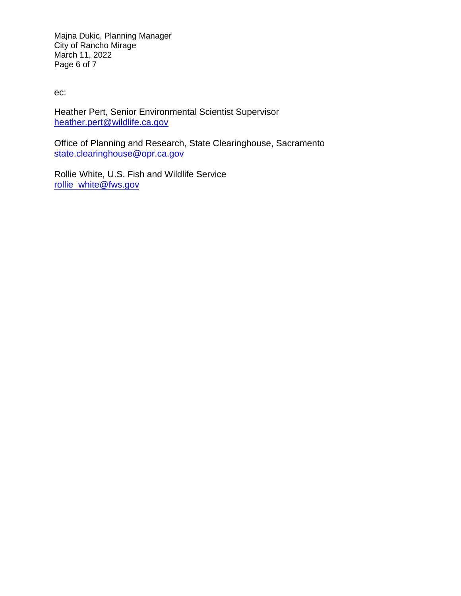Majna Dukic, Planning Manager City of Rancho Mirage March 11, 2022 Page 6 of 7

ec:

Heather Pert, Senior Environmental Scientist Supervisor [heather.pert@wildlife.ca.gov](mailto:heather.pert@wildlife.ca.gov)

Office of Planning and Research, State Clearinghouse, Sacramento [state.clearinghouse@opr.ca.gov](mailto:state.clearinghouse@opr.ca.gov)

Rollie White, U.S. Fish and Wildlife Service [rollie\\_white@fws.gov](mailto:rollie_white@fws.gov)